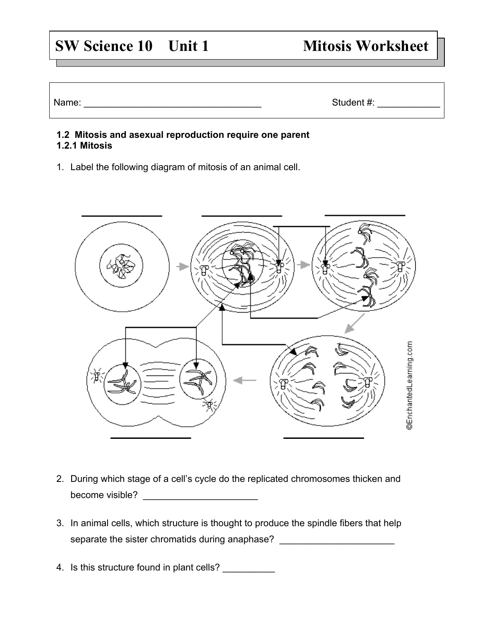## **SW Science 10 Unit 1 Mitosis Worksheet**

Name: \_\_\_\_\_\_\_\_\_\_\_\_\_\_\_\_\_\_\_\_\_\_\_\_\_\_\_\_\_\_\_\_\_\_ Student #: \_\_\_\_\_\_\_\_\_\_\_\_

## **1.2 Mitosis and asexual reproduction require one parent 1.2.1 Mitosis**

1. Label the following diagram of mitosis of an animal cell.



- 2. During which stage of a cell's cycle do the replicated chromosomes thicken and become visible? \_\_\_\_\_\_\_\_\_\_\_\_\_\_\_\_\_\_\_\_\_\_
- 3. In animal cells, which structure is thought to produce the spindle fibers that help separate the sister chromatids during anaphase? \_\_\_\_\_\_\_\_\_\_\_\_\_\_\_\_\_\_\_\_\_\_\_\_\_\_\_\_\_\_\_\_
- 4. Is this structure found in plant cells? \_\_\_\_\_\_\_\_\_\_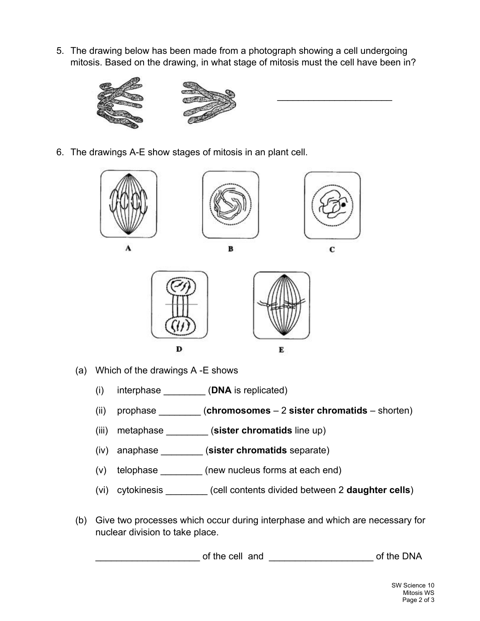5. The drawing below has been made from a photograph showing a cell undergoing mitosis. Based on the drawing, in what stage of mitosis must the cell have been in?

 $\frac{1}{2}$  , and the set of the set of the set of the set of the set of the set of the set of the set of the set of the set of the set of the set of the set of the set of the set of the set of the set of the set of the set



6. The drawings A-E show stages of mitosis in an plant cell.



- (a) Which of the drawings A -E shows
	- (i) interphase \_\_\_\_\_\_\_\_ (**DNA** is replicated)

D

(ii) prophase \_\_\_\_\_\_\_\_ (**chromosomes** – 2 **sister chromatids** – shorten)

E

- (iii) metaphase \_\_\_\_\_\_\_\_ (**sister chromatids** line up)
- (iv) anaphase \_\_\_\_\_\_\_\_ (**sister chromatids** separate)
- (v) telophase \_\_\_\_\_\_\_\_ (new nucleus forms at each end)
- (vi) cytokinesis \_\_\_\_\_\_\_\_ (cell contents divided between 2 **daughter cells**)
- (b) Give two processes which occur during interphase and which are necessary for nuclear division to take place.

of the cell and **the cell and** the DNA